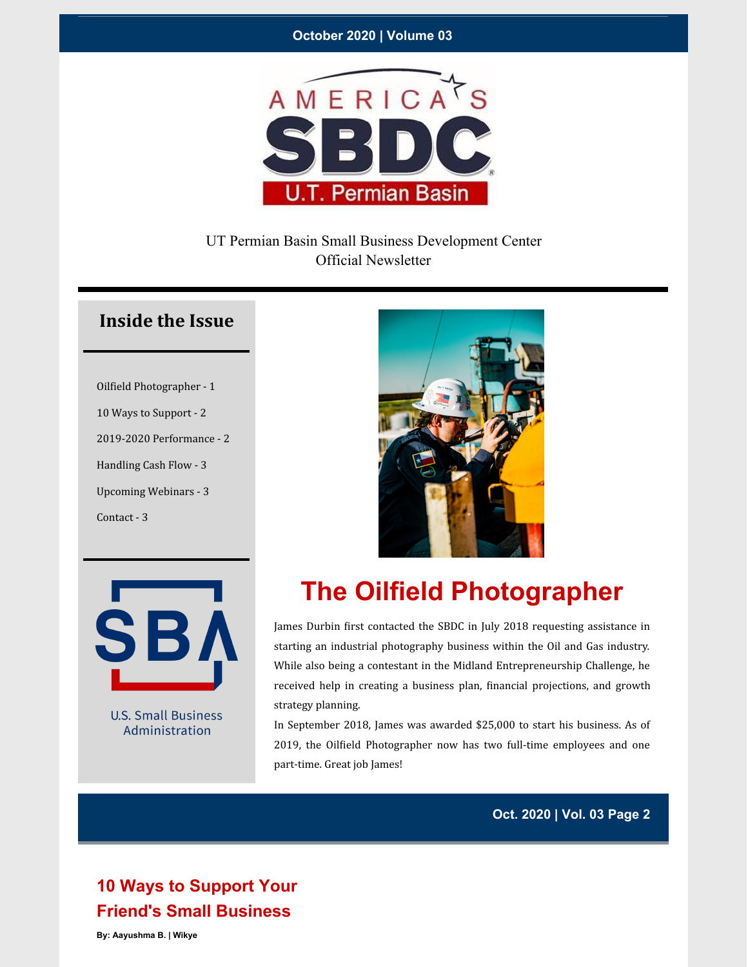#### **October 2020 | Volume 03**



### UT Permian Basin Small Business Development Center Official Newsletter

### **Inside the Issue**

Oilfield Photographer - 1 10 Ways to Support - 2 2019-2020 Performance - 2 Handling Cash Flow - 3 Upcoming Webinars - 3 Contact - 3



**U.S. Small Business** Administration



# **The Oilfield Photographer**

James Durbin first contacted the SBDC in July 2018 requesting assistance in starting an industrial photography business within the Oil and Gas industry. While also being a contestant in the Midland Entrepreneurship Challenge, he received help in creating a business plan, financial projections, and growth strategy planning.

In September 2018, James was awarded \$25,000 to start his business. As of 2019, the Oilfield Photographer now has two full-time employees and one part-time. Great job James!

**Oct. 2020 | Vol. 03 Page 2**

## **10 Ways to Support Your Friend's Small Business**

**By: Aayushma B. | Wikye**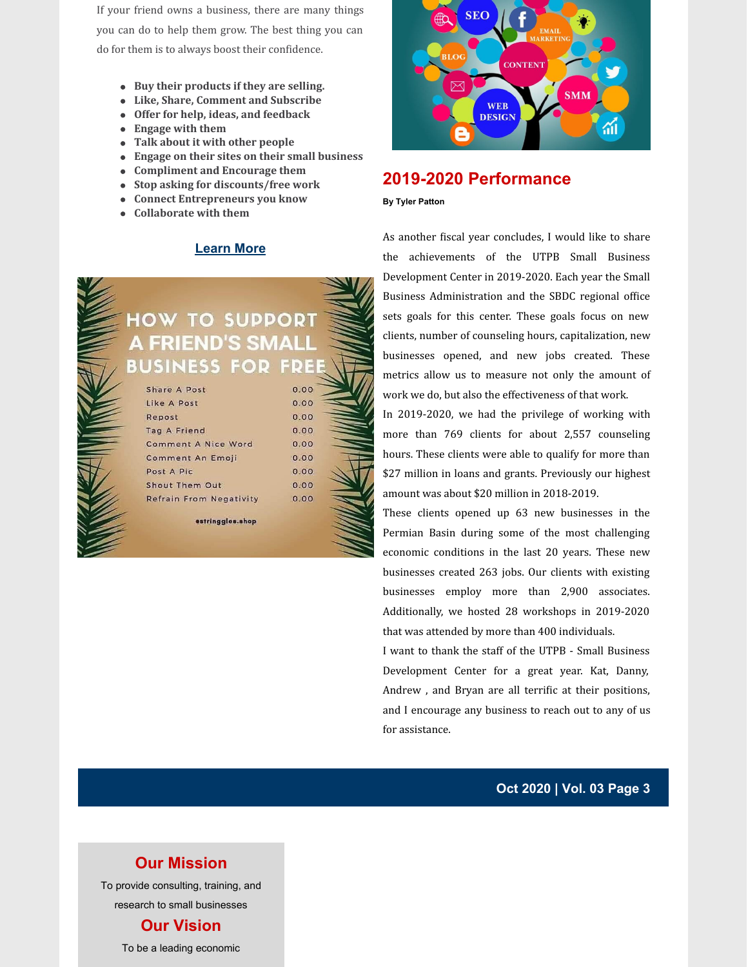If your friend owns a business, there are many things you can do to help them grow. The best thing you can do for them is to always boost their confidence.

- **Buy their products if they are selling.**
- **Like, Share, Comment and Subscribe**
- **Offer for help, ideas, and feedback**
- **Engage with them**
- **Talk about it with other people**
- **Engage on their sites on their small business**
- **Compliment and Encourage them**
- **Stop asking for discounts/free work**
- **Connect Entrepreneurs you know**
- **Collaborate with them**

#### **[Learn](https://www.wikye.com/10-ways-to-support-your-friends-small-business/) More**





### **2019-2020 Performance**

#### **By Tyler Patton**

As another fiscal year concludes, I would like to share the achievements of the UTPB Small Business Development Center in 2019-2020. Each year the Small Business Administration and the SBDC regional office sets goals for this center. These goals focus on new clients, number of counseling hours, capitalization, new businesses opened, and new jobs created. These metrics allow us to measure not only the amount of work we do, but also the effectiveness of that work.

In 2019-2020, we had the privilege of working with more than 769 clients for about 2,557 counseling hours. These clients were able to qualify for more than \$27 million in loans and grants. Previously our highest amount was about \$20 million in 2018-2019.

These clients opened up 63 new businesses in the Permian Basin during some of the most challenging economic conditions in the last 20 years. These new businesses created 263 jobs. Our clients with existing businesses employ more than 2,900 associates. Additionally, we hosted 28 workshops in 2019-2020 that was attended by more than 400 individuals.

I want to thank the staff of the UTPB - Small Business Development Center for a great year. Kat, Danny, Andrew, and Bryan are all terrific at their positions, and I encourage any business to reach out to any of us for assistance.

**Oct 2020 | Vol. 03 Page 3**

### **Our Mission**

To provide consulting, training, and research to small businesses

### **Our Vision**

To be a leading economic